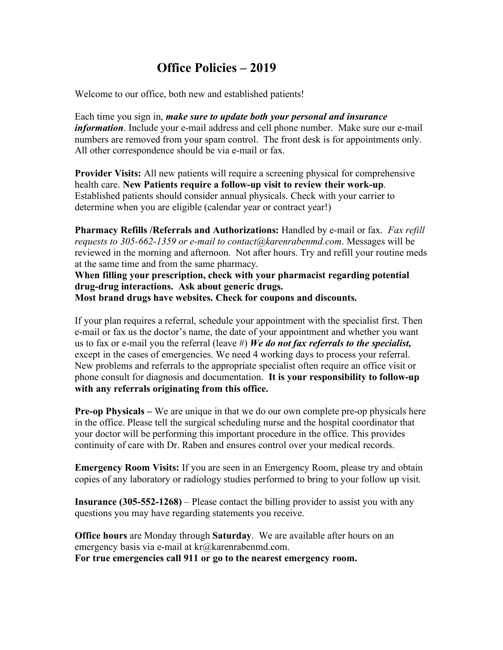## **Office Policies – 2019**

Welcome to our office, both new and established patients!

Each time you sign in, *make sure to update both your personal and insurance information*. Include your e-mail address and cell phone number. Make sure our e-mail numbers are removed from your spam control. The front desk is for appointments only. All other correspondence should be via e-mail or fax.

**Provider Visits:** All new patients will require a screening physical for comprehensive health care. **New Patients require a follow-up visit to review their work-up**. Established patients should consider annual physicals. Check with your carrier to determine when you are eligible (calendar year or contract year!)

**Pharmacy Refills /Referrals and Authorizations:** Handled by e-mail or fax. *Fax refill requests to 305-662-1359 or e-mail to contact@karenrabenmd.com*. Messages will be reviewed in the morning and afternoon. Not after hours. Try and refill your routine meds at the same time and from the same pharmacy.

**When filling your prescription, check with your pharmacist regarding potential drug-drug interactions. Ask about generic drugs. Most brand drugs have websites. Check for coupons and discounts.**

If your plan requires a referral, schedule your appointment with the specialist first. Then e-mail or fax us the doctor's name, the date of your appointment and whether you want us to fax or e-mail you the referral (leave #) *We do not fax referrals to the specialist,*  except in the cases of emergencies. We need 4 working days to process your referral. New problems and referrals to the appropriate specialist often require an office visit or phone consult for diagnosis and documentation. **It is your responsibility to follow-up with any referrals originating from this office.**

**Pre-op Physicals –** We are unique in that we do our own complete pre-op physicals here in the office. Please tell the surgical scheduling nurse and the hospital coordinator that your doctor will be performing this important procedure in the office. This provides continuity of care with Dr. Raben and ensures control over your medical records.

**Emergency Room Visits:** If you are seen in an Emergency Room, please try and obtain copies of any laboratory or radiology studies performed to bring to your follow up visit.

**Insurance (305-552-1268)** – Please contact the billing provider to assist you with any questions you may have regarding statements you receive.

**Office hours** are Monday through **Saturday**. We are available after hours on an emergency basis via e-mail at kr@karenrabenmd.com.

**For true emergencies call 911 or go to the nearest emergency room.**